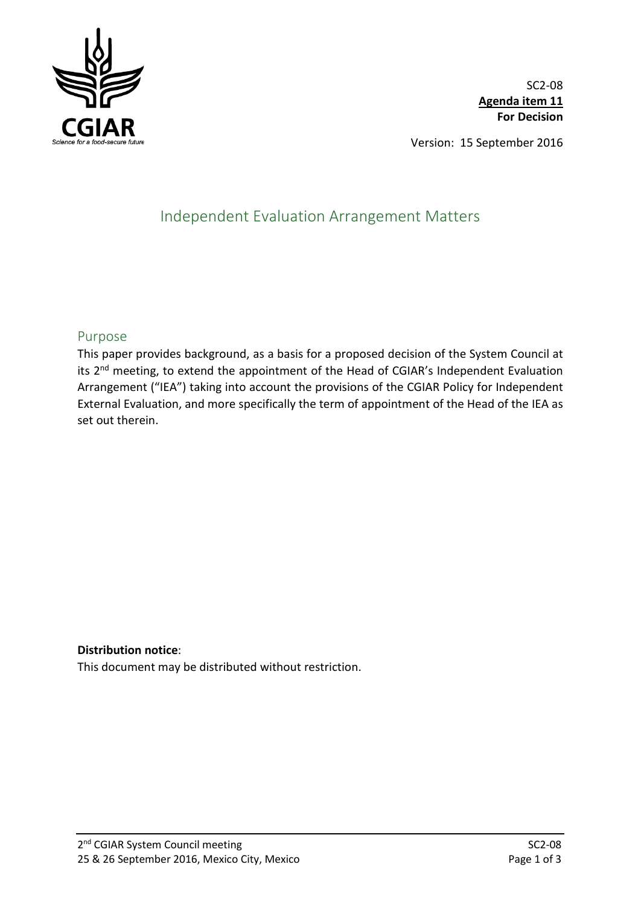

SC2-08 **Agenda item 11 For Decision**

Version: 15 September 2016

# Independent Evaluation Arrangement Matters

## Purpose

This paper provides background, as a basis for a proposed decision of the System Council at its 2<sup>nd</sup> meeting, to extend the appointment of the Head of CGIAR's Independent Evaluation Arrangement ("IEA") taking into account the provisions of the CGIAR Policy for Independent External Evaluation, and more specifically the term of appointment of the Head of the IEA as set out therein.

## **Distribution notice**:

This document may be distributed without restriction.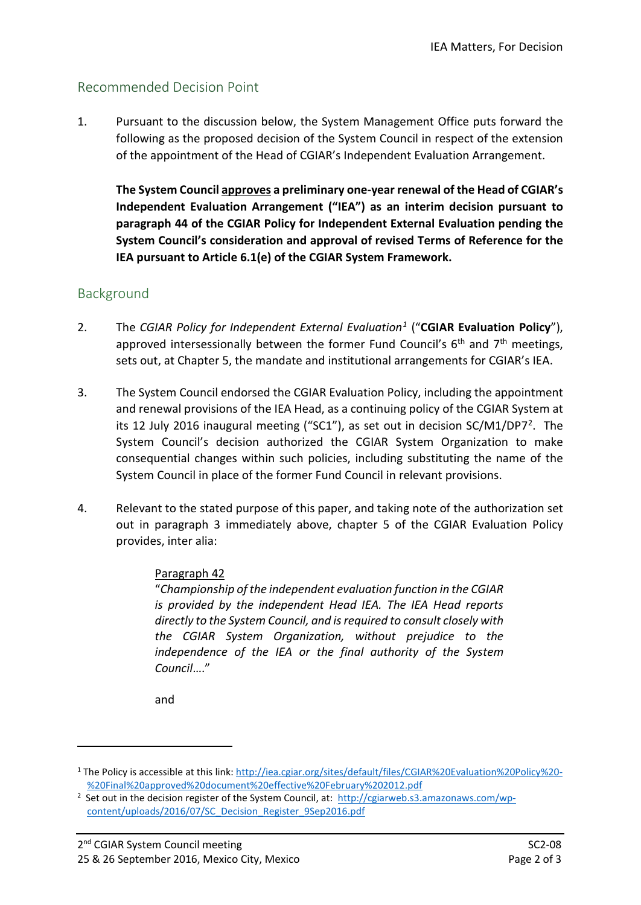# Recommended Decision Point

1. Pursuant to the discussion below, the System Management Office puts forward the following as the proposed decision of the System Council in respect of the extension of the appointment of the Head of CGIAR's Independent Evaluation Arrangement.

**The System Council approves a preliminary one-year renewal of the Head of CGIAR's Independent Evaluation Arrangement ("IEA") as an interim decision pursuant to paragraph 44 of the CGIAR Policy for Independent External Evaluation pending the System Council's consideration and approval of revised Terms of Reference for the IEA pursuant to Article 6.1(e) of the CGIAR System Framework.**

# Background

- 2. The *CGIAR Policy for Independent External Evaluation[1](#page-1-0)* ("**CGIAR Evaluation Policy**"), approved intersessionally between the former Fund Council's  $6<sup>th</sup>$  and  $7<sup>th</sup>$  meetings, sets out, at Chapter 5, the mandate and institutional arrangements for CGIAR's IEA.
- 3. The System Council endorsed the CGIAR Evaluation Policy, including the appointment and renewal provisions of the IEA Head, as a continuing policy of the CGIAR System at its 12 July 2016 inaugural meeting ("SC1"), as set out in decision SC/M1/DP7[2](#page-1-1). The System Council's decision authorized the CGIAR System Organization to make consequential changes within such policies, including substituting the name of the System Council in place of the former Fund Council in relevant provisions.
- 4. Relevant to the stated purpose of this paper, and taking note of the authorization set out in paragraph 3 immediately above, chapter 5 of the CGIAR Evaluation Policy provides, inter alia:

## Paragraph 42

"*Championship of the independent evaluation function in the CGIAR is provided by the independent Head IEA. The IEA Head reports directly to the System Council, and is required to consult closely with the CGIAR System Organization, without prejudice to the independence of the IEA or the final authority of the System Council*…."

and

-

<span id="page-1-0"></span><sup>1</sup> The Policy is accessible at this link[: http://iea.cgiar.org/sites/default/files/CGIAR%20Evaluation%20Policy%20-](http://iea.cgiar.org/sites/default/files/CGIAR%20Evaluation%20Policy%20-%20Final%20approved%20document%20effective%20February%202012.pdf) [%20Final%20approved%20document%20effective%20February%202012.pdf](http://iea.cgiar.org/sites/default/files/CGIAR%20Evaluation%20Policy%20-%20Final%20approved%20document%20effective%20February%202012.pdf) 2

<span id="page-1-1"></span><sup>&</sup>lt;sup>2</sup> Set out in the decision register of the System Council, at: [http://cgiarweb.s3.amazonaws.com/wp](http://cgiarweb.s3.amazonaws.com/wp-content/uploads/2016/07/SC_Decision_Register_9Sep2016.pdf)[content/uploads/2016/07/SC\\_Decision\\_Register\\_9Sep2016.pdf](http://cgiarweb.s3.amazonaws.com/wp-content/uploads/2016/07/SC_Decision_Register_9Sep2016.pdf)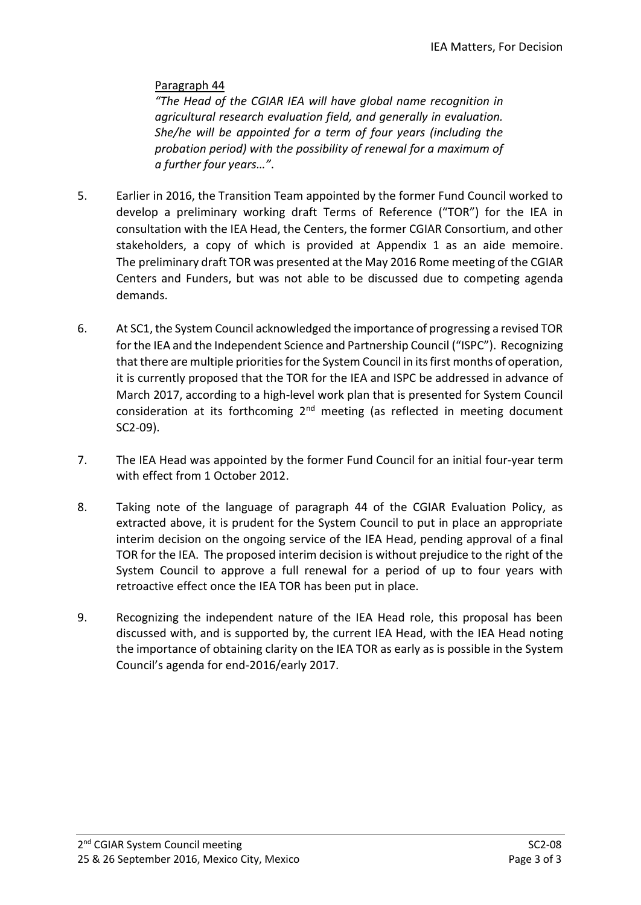# Paragraph 44

*"The Head of the CGIAR IEA will have global name recognition in agricultural research evaluation field, and generally in evaluation. She/he will be appointed for a term of four years (including the probation period) with the possibility of renewal for a maximum of a further four years…"*.

- 5. Earlier in 2016, the Transition Team appointed by the former Fund Council worked to develop a preliminary working draft Terms of Reference ("TOR") for the IEA in consultation with the IEA Head, the Centers, the former CGIAR Consortium, and other stakeholders, a copy of which is provided at Appendix 1 as an aide memoire. The preliminary draft TOR was presented at the May 2016 Rome meeting of the CGIAR Centers and Funders, but was not able to be discussed due to competing agenda demands.
- 6. At SC1, the System Council acknowledged the importance of progressing a revised TOR for the IEA and the Independent Science and Partnership Council ("ISPC"). Recognizing that there are multiple priorities for the System Council in its first months of operation, it is currently proposed that the TOR for the IEA and ISPC be addressed in advance of March 2017, according to a high-level work plan that is presented for System Council consideration at its forthcoming 2nd meeting (as reflected in meeting document SC2-09).
- 7. The IEA Head was appointed by the former Fund Council for an initial four-year term with effect from 1 October 2012.
- 8. Taking note of the language of paragraph 44 of the CGIAR Evaluation Policy, as extracted above, it is prudent for the System Council to put in place an appropriate interim decision on the ongoing service of the IEA Head, pending approval of a final TOR for the IEA. The proposed interim decision is without prejudice to the right of the System Council to approve a full renewal for a period of up to four years with retroactive effect once the IEA TOR has been put in place.
- 9. Recognizing the independent nature of the IEA Head role, this proposal has been discussed with, and is supported by, the current IEA Head, with the IEA Head noting the importance of obtaining clarity on the IEA TOR as early as is possible in the System Council's agenda for end-2016/early 2017.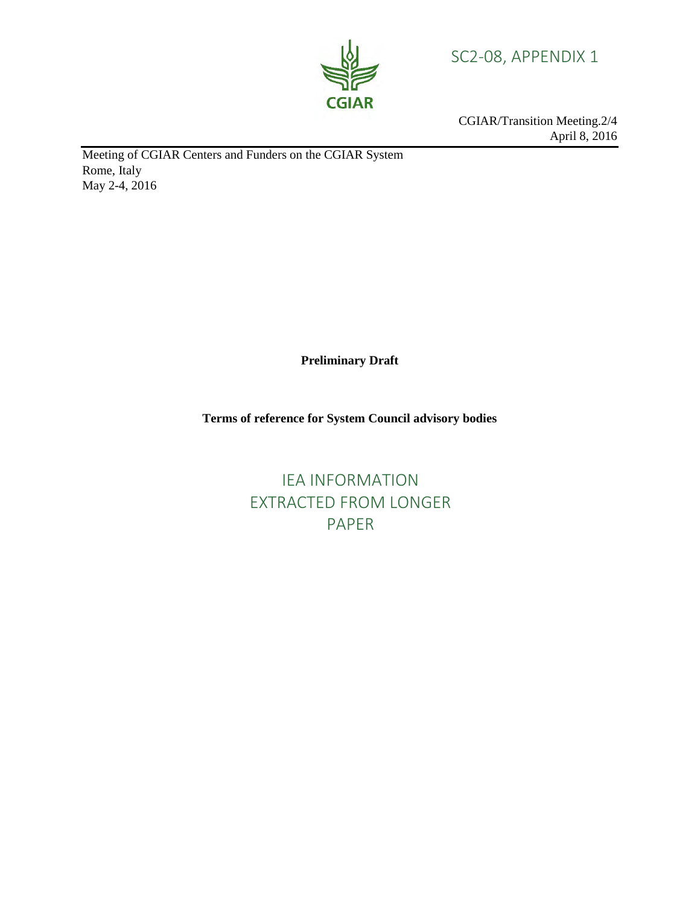

SC2-08, APPENDIX 1

CGIAR/Transition Meeting.2/4 April 8, 2016

Meeting of CGIAR Centers and Funders on the CGIAR System Rome, Italy May 2-4, 2016

**Preliminary Draft**

**Terms of reference for System Council advisory bodies**

IEA INFORMATION EXTRACTED FROM LONGER PAPER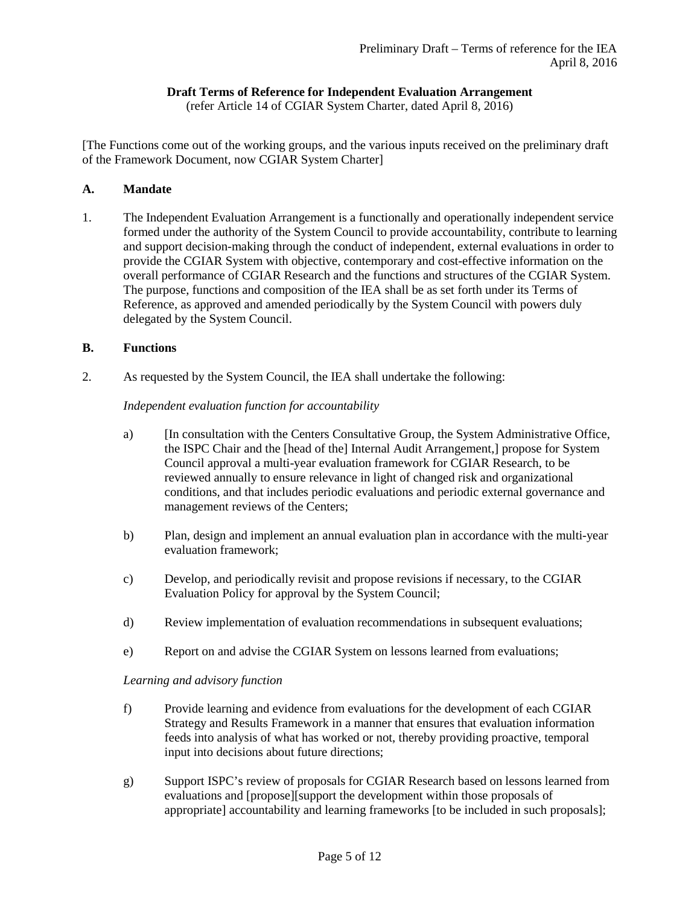## **Draft Terms of Reference for Independent Evaluation Arrangement**

(refer Article 14 of CGIAR System Charter, dated April 8, 2016)

[The Functions come out of the working groups, and the various inputs received on the preliminary draft of the Framework Document, now CGIAR System Charter]

### **A. Mandate**

1. The Independent Evaluation Arrangement is a functionally and operationally independent service formed under the authority of the System Council to provide accountability, contribute to learning and support decision-making through the conduct of independent, external evaluations in order to provide the CGIAR System with objective, contemporary and cost-effective information on the overall performance of CGIAR Research and the functions and structures of the CGIAR System. The purpose, functions and composition of the IEA shall be as set forth under its Terms of Reference, as approved and amended periodically by the System Council with powers duly delegated by the System Council.

#### **B. Functions**

2. As requested by the System Council, the IEA shall undertake the following:

#### *Independent evaluation function for accountability*

- a) [In consultation with the Centers Consultative Group, the System Administrative Office, the ISPC Chair and the [head of the] Internal Audit Arrangement,] propose for System Council approval a multi-year evaluation framework for CGIAR Research, to be reviewed annually to ensure relevance in light of changed risk and organizational conditions, and that includes periodic evaluations and periodic external governance and management reviews of the Centers;
- b) Plan, design and implement an annual evaluation plan in accordance with the multi-year evaluation framework;
- c) Develop, and periodically revisit and propose revisions if necessary, to the CGIAR Evaluation Policy for approval by the System Council;
- d) Review implementation of evaluation recommendations in subsequent evaluations;
- e) Report on and advise the CGIAR System on lessons learned from evaluations;

*Learning and advisory function* 

- f) Provide learning and evidence from evaluations for the development of each CGIAR Strategy and Results Framework in a manner that ensures that evaluation information feeds into analysis of what has worked or not, thereby providing proactive, temporal input into decisions about future directions;
- g) Support ISPC's review of proposals for CGIAR Research based on lessons learned from evaluations and [propose][support the development within those proposals of appropriate] accountability and learning frameworks [to be included in such proposals];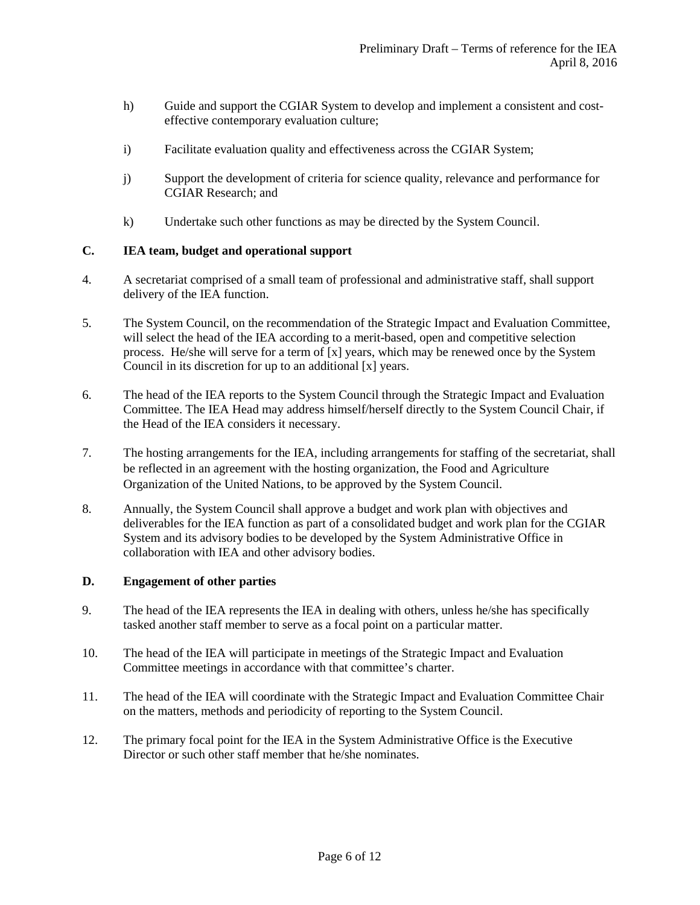- h) Guide and support the CGIAR System to develop and implement a consistent and costeffective contemporary evaluation culture;
- i) Facilitate evaluation quality and effectiveness across the CGIAR System;
- j) Support the development of criteria for science quality, relevance and performance for CGIAR Research; and
- k) Undertake such other functions as may be directed by the System Council.

### **C. IEA team, budget and operational support**

- 4. A secretariat comprised of a small team of professional and administrative staff, shall support delivery of the IEA function.
- 5. The System Council, on the recommendation of the Strategic Impact and Evaluation Committee, will select the head of the IEA according to a merit-based, open and competitive selection process. He/she will serve for a term of [x] years, which may be renewed once by the System Council in its discretion for up to an additional [x] years.
- 6. The head of the IEA reports to the System Council through the Strategic Impact and Evaluation Committee. The IEA Head may address himself/herself directly to the System Council Chair, if the Head of the IEA considers it necessary.
- 7. The hosting arrangements for the IEA, including arrangements for staffing of the secretariat, shall be reflected in an agreement with the hosting organization, the Food and Agriculture Organization of the United Nations, to be approved by the System Council.
- 8. Annually, the System Council shall approve a budget and work plan with objectives and deliverables for the IEA function as part of a consolidated budget and work plan for the CGIAR System and its advisory bodies to be developed by the System Administrative Office in collaboration with IEA and other advisory bodies.

### **D. Engagement of other parties**

- 9. The head of the IEA represents the IEA in dealing with others, unless he/she has specifically tasked another staff member to serve as a focal point on a particular matter.
- 10. The head of the IEA will participate in meetings of the Strategic Impact and Evaluation Committee meetings in accordance with that committee's charter.
- 11. The head of the IEA will coordinate with the Strategic Impact and Evaluation Committee Chair on the matters, methods and periodicity of reporting to the System Council.
- 12. The primary focal point for the IEA in the System Administrative Office is the Executive Director or such other staff member that he/she nominates.